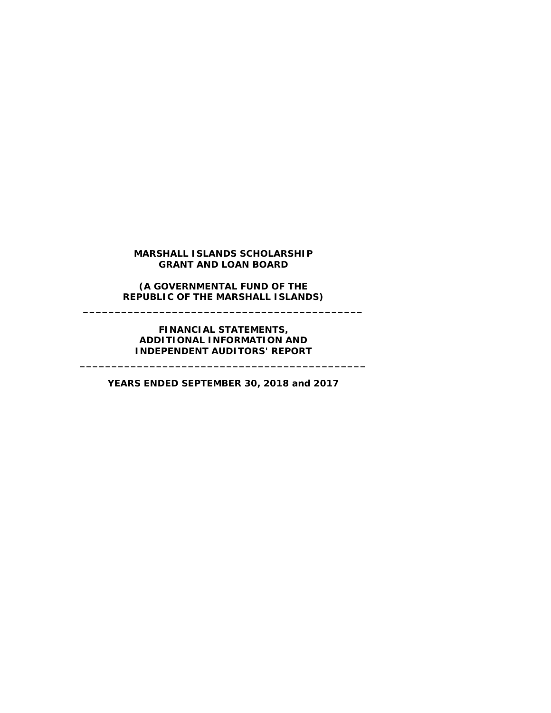**(A GOVERNMENTAL FUND OF THE REPUBLIC OF THE MARSHALL ISLANDS) \_\_\_\_\_\_\_\_\_\_\_\_\_\_\_\_\_\_\_\_\_\_\_\_\_\_\_\_\_\_\_\_\_\_\_\_\_\_\_\_\_\_\_\_**

> **FINANCIAL STATEMENTS, ADDITIONAL INFORMATION AND INDEPENDENT AUDITORS' REPORT**

**\_\_\_\_\_\_\_\_\_\_\_\_\_\_\_\_\_\_\_\_\_\_\_\_\_\_\_\_\_\_\_\_\_\_\_\_\_\_\_\_\_\_\_\_\_**

**YEARS ENDED SEPTEMBER 30, 2018 and 2017**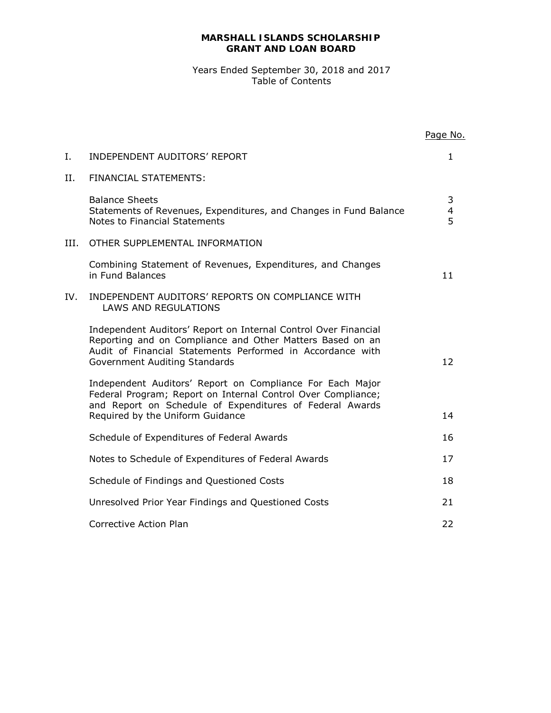Years Ended September 30, 2018 and 2017 Table of Contents

|      |                                                                                                                                                                                                                                    | Page No.                                        |
|------|------------------------------------------------------------------------------------------------------------------------------------------------------------------------------------------------------------------------------------|-------------------------------------------------|
| I.   | <b>INDEPENDENT AUDITORS' REPORT</b>                                                                                                                                                                                                | $\mathbf{1}$                                    |
| Н.   | <b>FINANCIAL STATEMENTS:</b>                                                                                                                                                                                                       |                                                 |
|      | <b>Balance Sheets</b><br>Statements of Revenues, Expenditures, and Changes in Fund Balance<br>Notes to Financial Statements                                                                                                        | 3<br>$\overline{\mathcal{A}}$<br>$\overline{5}$ |
| III. | OTHER SUPPLEMENTAL INFORMATION                                                                                                                                                                                                     |                                                 |
|      | Combining Statement of Revenues, Expenditures, and Changes<br>in Fund Balances                                                                                                                                                     | 11                                              |
| IV.  | INDEPENDENT AUDITORS' REPORTS ON COMPLIANCE WITH<br><b>LAWS AND REGULATIONS</b>                                                                                                                                                    |                                                 |
|      | Independent Auditors' Report on Internal Control Over Financial<br>Reporting and on Compliance and Other Matters Based on an<br>Audit of Financial Statements Performed in Accordance with<br><b>Government Auditing Standards</b> | 12                                              |
|      | Independent Auditors' Report on Compliance For Each Major<br>Federal Program; Report on Internal Control Over Compliance;<br>and Report on Schedule of Expenditures of Federal Awards<br>Required by the Uniform Guidance          | 14                                              |
|      | Schedule of Expenditures of Federal Awards                                                                                                                                                                                         | 16                                              |
|      | Notes to Schedule of Expenditures of Federal Awards                                                                                                                                                                                | 17                                              |
|      | Schedule of Findings and Questioned Costs                                                                                                                                                                                          | 18                                              |
|      | Unresolved Prior Year Findings and Questioned Costs                                                                                                                                                                                | 21                                              |
|      | <b>Corrective Action Plan</b>                                                                                                                                                                                                      | 22                                              |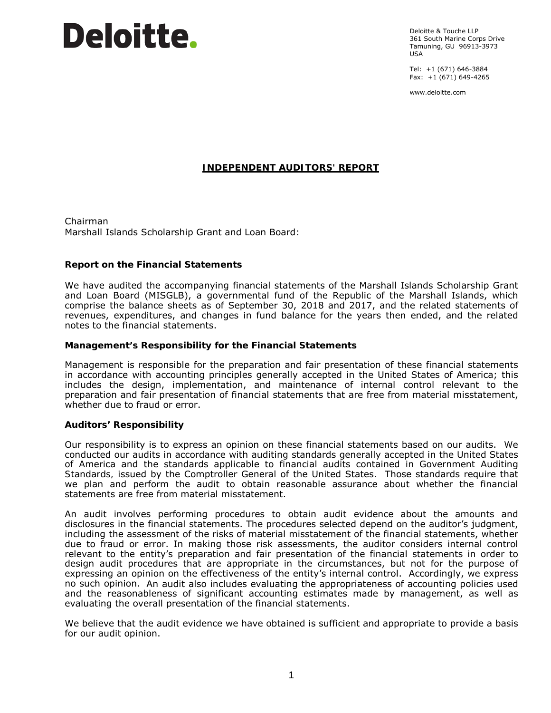Deloitte & Touche LLP 361 South Marine Corps Drive Tamuning, GU 96913-3973 USA

Tel: +1 (671) 646-3884 Fax: +1 (671) 649-4265

www.deloitte.com

### **INDEPENDENT AUDITORS' REPORT**

Chairman Marshall Islands Scholarship Grant and Loan Board:

### **Report on the Financial Statements**

We have audited the accompanying financial statements of the Marshall Islands Scholarship Grant and Loan Board (MISGLB), a governmental fund of the Republic of the Marshall Islands, which comprise the balance sheets as of September 30, 2018 and 2017, and the related statements of revenues, expenditures, and changes in fund balance for the years then ended, and the related notes to the financial statements.

### *Management's Responsibility for the Financial Statements*

Management is responsible for the preparation and fair presentation of these financial statements in accordance with accounting principles generally accepted in the United States of America; this includes the design, implementation, and maintenance of internal control relevant to the preparation and fair presentation of financial statements that are free from material misstatement, whether due to fraud or error.

### *Auditors' Responsibility*

Our responsibility is to express an opinion on these financial statements based on our audits. We conducted our audits in accordance with auditing standards generally accepted in the United States of America and the standards applicable to financial audits contained in *Government Auditing Standards,* issued by the Comptroller General of the United States. Those standards require that we plan and perform the audit to obtain reasonable assurance about whether the financial statements are free from material misstatement.

An audit involves performing procedures to obtain audit evidence about the amounts and disclosures in the financial statements. The procedures selected depend on the auditor's judgment, including the assessment of the risks of material misstatement of the financial statements, whether due to fraud or error. In making those risk assessments, the auditor considers internal control relevant to the entity's preparation and fair presentation of the financial statements in order to design audit procedures that are appropriate in the circumstances, but not for the purpose of expressing an opinion on the effectiveness of the entity's internal control. Accordingly, we express no such opinion. An audit also includes evaluating the appropriateness of accounting policies used and the reasonableness of significant accounting estimates made by management, as well as evaluating the overall presentation of the financial statements.

We believe that the audit evidence we have obtained is sufficient and appropriate to provide a basis for our audit opinion.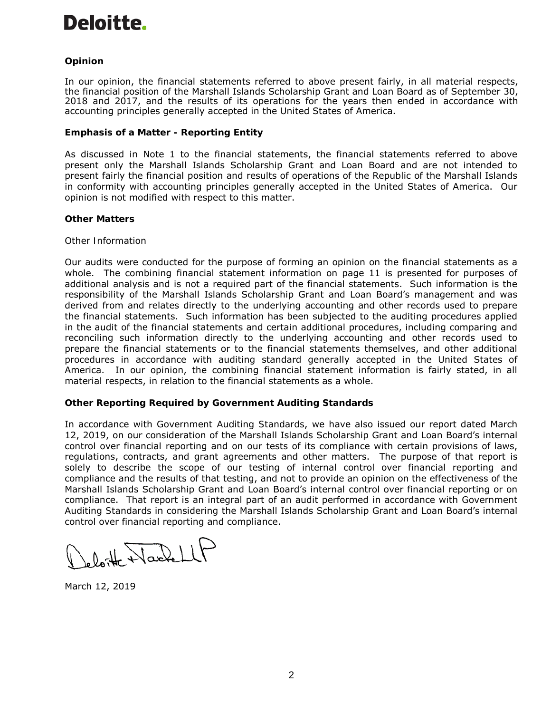### *Opinion*

In our opinion, the financial statements referred to above present fairly, in all material respects, the financial position of the Marshall Islands Scholarship Grant and Loan Board as of September 30, 2018 and 2017, and the results of its operations for the years then ended in accordance with accounting principles generally accepted in the United States of America.

### *Emphasis of a Matter - Reporting Entity*

As discussed in Note 1 to the financial statements, the financial statements referred to above present only the Marshall Islands Scholarship Grant and Loan Board and are not intended to present fairly the financial position and results of operations of the Republic of the Marshall Islands in conformity with accounting principles generally accepted in the United States of America. Our opinion is not modified with respect to this matter.

### *Other Matters*

### *Other Information*

Our audits were conducted for the purpose of forming an opinion on the financial statements as a whole. The combining financial statement information on page 11 is presented for purposes of additional analysis and is not a required part of the financial statements. Such information is the responsibility of the Marshall Islands Scholarship Grant and Loan Board's management and was derived from and relates directly to the underlying accounting and other records used to prepare the financial statements. Such information has been subjected to the auditing procedures applied in the audit of the financial statements and certain additional procedures, including comparing and reconciling such information directly to the underlying accounting and other records used to prepare the financial statements or to the financial statements themselves, and other additional procedures in accordance with auditing standard generally accepted in the United States of America. In our opinion, the combining financial statement information is fairly stated, in all material respects, in relation to the financial statements as a whole.

### **Other Reporting Required by** *Government Auditing Standards*

In accordance with *Government Auditing Standards*, we have also issued our report dated March 12, 2019, on our consideration of the Marshall Islands Scholarship Grant and Loan Board's internal control over financial reporting and on our tests of its compliance with certain provisions of laws, regulations, contracts, and grant agreements and other matters. The purpose of that report is solely to describe the scope of our testing of internal control over financial reporting and compliance and the results of that testing, and not to provide an opinion on the effectiveness of the Marshall Islands Scholarship Grant and Loan Board's internal control over financial reporting or on compliance. That report is an integral part of an audit performed in accordance with *Government Auditing Standards* in considering the Marshall Islands Scholarship Grant and Loan Board's internal control over financial reporting and compliance.

loite Nachell

March 12, 2019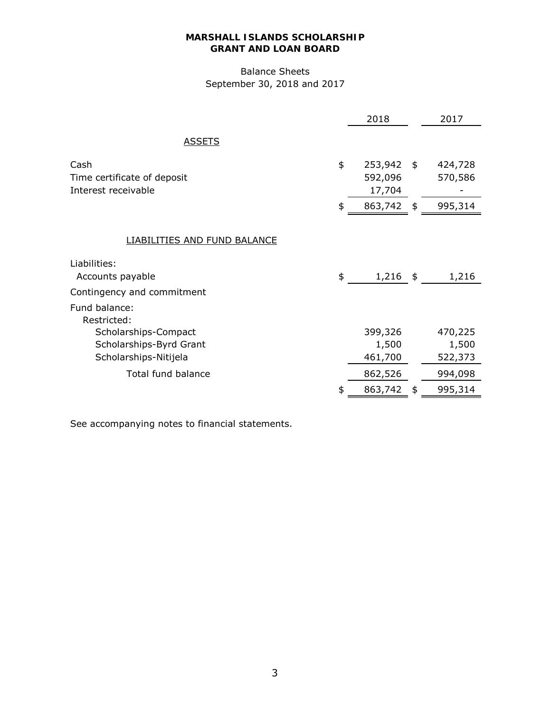### Balance Sheets September 30, 2018 and 2017

|                                                                  | 2018                               | 2017                     |
|------------------------------------------------------------------|------------------------------------|--------------------------|
| <b>ASSETS</b>                                                    |                                    |                          |
| Cash<br>Time certificate of deposit<br>Interest receivable       | \$<br>253,942<br>592,096<br>17,704 | \$<br>424,728<br>570,586 |
|                                                                  | \$<br>863,742                      | \$<br>995,314            |
| LIABILITIES AND FUND BALANCE<br>Liabilities:<br>Accounts payable | \$<br>$1,216$ \$                   | 1,216                    |
| Contingency and commitment                                       |                                    |                          |
| Fund balance:<br>Restricted:                                     |                                    |                          |
| Scholarships-Compact                                             | 399,326                            | 470,225                  |
| Scholarships-Byrd Grant                                          | 1,500                              | 1,500                    |
| Scholarships-Nitijela                                            | 461,700                            | 522,373                  |
| Total fund balance                                               | 862,526                            | 994,098                  |
|                                                                  | 863,742                            | \$<br>995,314            |

See accompanying notes to financial statements.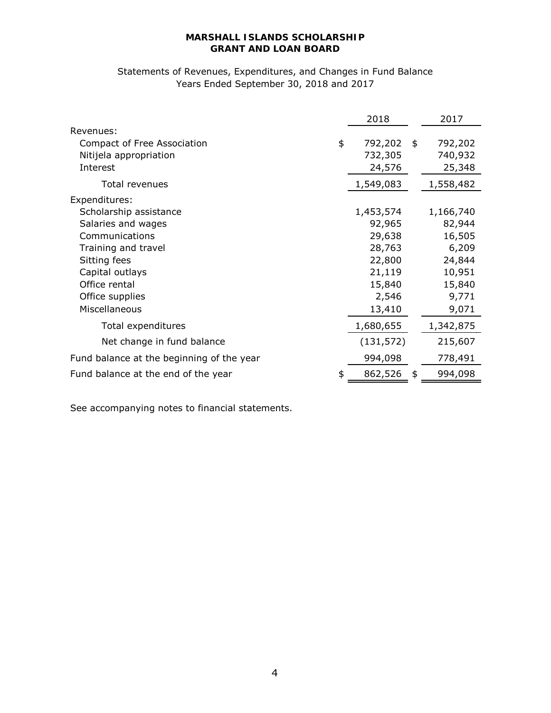### Statements of Revenues, Expenditures, and Changes in Fund Balance Years Ended September 30, 2018 and 2017

|                                           | 2018          | 2017          |
|-------------------------------------------|---------------|---------------|
| Revenues:                                 |               |               |
| Compact of Free Association               | \$<br>792,202 | \$<br>792,202 |
| Nitijela appropriation                    | 732,305       | 740,932       |
| Interest                                  | 24,576        | 25,348        |
| Total revenues                            | 1,549,083     | 1,558,482     |
| Expenditures:                             |               |               |
| Scholarship assistance                    | 1,453,574     | 1,166,740     |
| Salaries and wages                        | 92,965        | 82,944        |
| Communications                            | 29,638        | 16,505        |
| Training and travel                       | 28,763        | 6,209         |
| Sitting fees                              | 22,800        | 24,844        |
| Capital outlays                           | 21,119        | 10,951        |
| Office rental                             | 15,840        | 15,840        |
| Office supplies                           | 2,546         | 9,771         |
| Miscellaneous                             | 13,410        | 9,071         |
| Total expenditures                        | 1,680,655     | 1,342,875     |
| Net change in fund balance                | (131, 572)    | 215,607       |
| Fund balance at the beginning of the year | 994,098       | 778,491       |
| Fund balance at the end of the year       | \$<br>862,526 | \$<br>994,098 |

See accompanying notes to financial statements.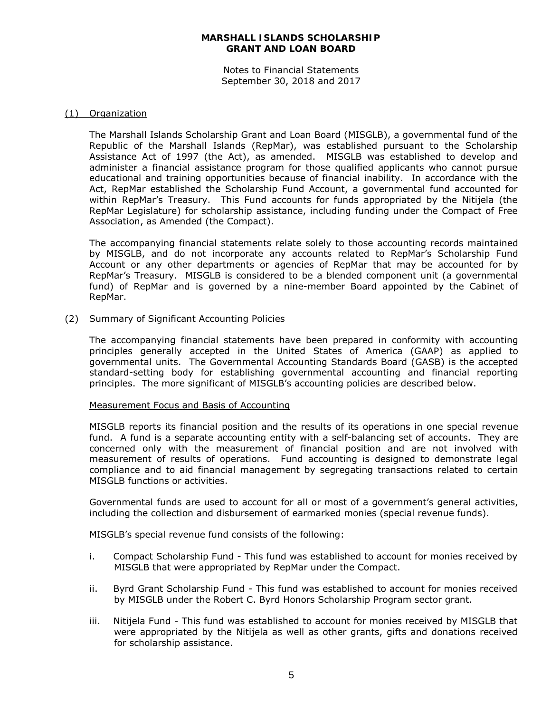Notes to Financial Statements September 30, 2018 and 2017

### (1) Organization

The Marshall Islands Scholarship Grant and Loan Board (MISGLB), a governmental fund of the Republic of the Marshall Islands (RepMar), was established pursuant to the Scholarship Assistance Act of 1997 (the Act), as amended. MISGLB was established to develop and administer a financial assistance program for those qualified applicants who cannot pursue educational and training opportunities because of financial inability. In accordance with the Act, RepMar established the Scholarship Fund Account, a governmental fund accounted for within RepMar's Treasury. This Fund accounts for funds appropriated by the Nitijela (the RepMar Legislature) for scholarship assistance, including funding under the Compact of Free Association, as Amended (the Compact).

The accompanying financial statements relate solely to those accounting records maintained by MISGLB, and do not incorporate any accounts related to RepMar's Scholarship Fund Account or any other departments or agencies of RepMar that may be accounted for by RepMar's Treasury. MISGLB is considered to be a blended component unit (a governmental fund) of RepMar and is governed by a nine-member Board appointed by the Cabinet of RepMar.

### (2) Summary of Significant Accounting Policies

The accompanying financial statements have been prepared in conformity with accounting principles generally accepted in the United States of America (GAAP) as applied to governmental units. The Governmental Accounting Standards Board (GASB) is the accepted standard-setting body for establishing governmental accounting and financial reporting principles. The more significant of MISGLB's accounting policies are described below.

### Measurement Focus and Basis of Accounting

MISGLB reports its financial position and the results of its operations in one special revenue fund. A fund is a separate accounting entity with a self-balancing set of accounts. They are concerned only with the measurement of financial position and are not involved with measurement of results of operations. Fund accounting is designed to demonstrate legal compliance and to aid financial management by segregating transactions related to certain MISGLB functions or activities.

Governmental funds are used to account for all or most of a government's general activities, including the collection and disbursement of earmarked monies (special revenue funds).

MISGLB's special revenue fund consists of the following:

- i. Compact Scholarship Fund This fund was established to account for monies received by MISGLB that were appropriated by RepMar under the Compact.
- ii. Byrd Grant Scholarship Fund This fund was established to account for monies received by MISGLB under the Robert C. Byrd Honors Scholarship Program sector grant.
- iii. Nitijela Fund This fund was established to account for monies received by MISGLB that were appropriated by the Nitijela as well as other grants, gifts and donations received for scholarship assistance.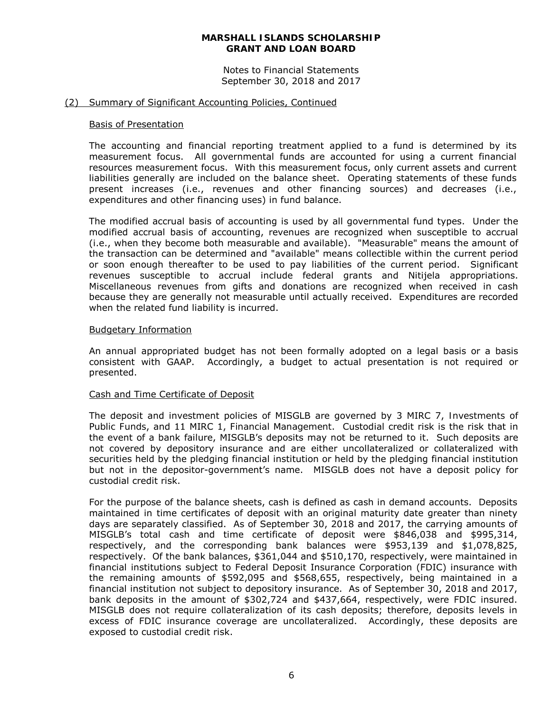Notes to Financial Statements September 30, 2018 and 2017

### (2) Summary of Significant Accounting Policies, Continued

### Basis of Presentation

The accounting and financial reporting treatment applied to a fund is determined by its measurement focus. All governmental funds are accounted for using a current financial resources measurement focus. With this measurement focus, only current assets and current liabilities generally are included on the balance sheet. Operating statements of these funds present increases (i.e., revenues and other financing sources) and decreases (i.e., expenditures and other financing uses) in fund balance.

The modified accrual basis of accounting is used by all governmental fund types. Under the modified accrual basis of accounting, revenues are recognized when susceptible to accrual (i.e., when they become both measurable and available). "Measurable" means the amount of the transaction can be determined and "available" means collectible within the current period or soon enough thereafter to be used to pay liabilities of the current period. Significant revenues susceptible to accrual include federal grants and Nitijela appropriations. Miscellaneous revenues from gifts and donations are recognized when received in cash because they are generally not measurable until actually received. Expenditures are recorded when the related fund liability is incurred.

### Budgetary Information

An annual appropriated budget has not been formally adopted on a legal basis or a basis consistent with GAAP. Accordingly, a budget to actual presentation is not required or presented.

### Cash and Time Certificate of Deposit

The deposit and investment policies of MISGLB are governed by 3 MIRC 7, *Investments of Public Funds*, and 11 MIRC 1, *Financial Management*. Custodial credit risk is the risk that in the event of a bank failure, MISGLB's deposits may not be returned to it. Such deposits are not covered by depository insurance and are either uncollateralized or collateralized with securities held by the pledging financial institution or held by the pledging financial institution but not in the depositor-government's name. MISGLB does not have a deposit policy for custodial credit risk.

For the purpose of the balance sheets, cash is defined as cash in demand accounts. Deposits maintained in time certificates of deposit with an original maturity date greater than ninety days are separately classified. As of September 30, 2018 and 2017, the carrying amounts of MISGLB's total cash and time certificate of deposit were \$846,038 and \$995,314, respectively, and the corresponding bank balances were \$953,139 and \$1,078,825, respectively. Of the bank balances, \$361,044 and \$510,170, respectively, were maintained in financial institutions subject to Federal Deposit Insurance Corporation (FDIC) insurance with the remaining amounts of \$592,095 and \$568,655, respectively, being maintained in a financial institution not subject to depository insurance. As of September 30, 2018 and 2017, bank deposits in the amount of \$302,724 and \$437,664, respectively, were FDIC insured. MISGLB does not require collateralization of its cash deposits; therefore, deposits levels in excess of FDIC insurance coverage are uncollateralized. Accordingly, these deposits are exposed to custodial credit risk.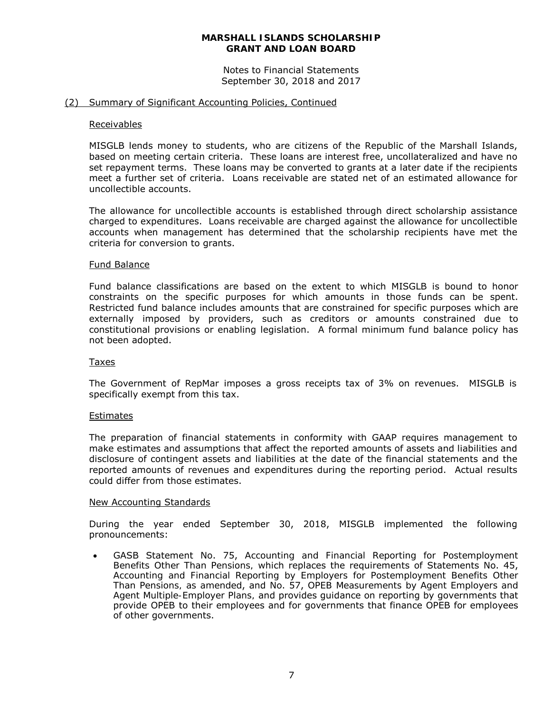Notes to Financial Statements September 30, 2018 and 2017

### (2) Summary of Significant Accounting Policies, Continued

### Receivables

MISGLB lends money to students, who are citizens of the Republic of the Marshall Islands, based on meeting certain criteria. These loans are interest free, uncollateralized and have no set repayment terms. These loans may be converted to grants at a later date if the recipients meet a further set of criteria. Loans receivable are stated net of an estimated allowance for uncollectible accounts.

The allowance for uncollectible accounts is established through direct scholarship assistance charged to expenditures. Loans receivable are charged against the allowance for uncollectible accounts when management has determined that the scholarship recipients have met the criteria for conversion to grants.

### Fund Balance

Fund balance classifications are based on the extent to which MISGLB is bound to honor constraints on the specific purposes for which amounts in those funds can be spent. Restricted fund balance includes amounts that are constrained for specific purposes which are externally imposed by providers, such as creditors or amounts constrained due to constitutional provisions or enabling legislation. A formal minimum fund balance policy has not been adopted.

### Taxes

The Government of RepMar imposes a gross receipts tax of 3% on revenues. MISGLB is specifically exempt from this tax.

### Estimates

The preparation of financial statements in conformity with GAAP requires management to make estimates and assumptions that affect the reported amounts of assets and liabilities and disclosure of contingent assets and liabilities at the date of the financial statements and the reported amounts of revenues and expenditures during the reporting period. Actual results could differ from those estimates.

### New Accounting Standards

During the year ended September 30, 2018, MISGLB implemented the following pronouncements:

• GASB Statement No. 75, *Accounting and Financial Reporting for Postemployment Benefits Other Than Pensions,* which replaces the requirements of Statements No. 45, *Accounting and Financial Reporting by Employers for Postemployment Benefits Other Than Pensions, as amended*, and No. 57, *OPEB Measurements by Agent Employers and Agent Multiple-Employer Plans,* and provides guidance on reporting by governments that provide OPEB to their employees and for governments that finance OPEB for employees of other governments.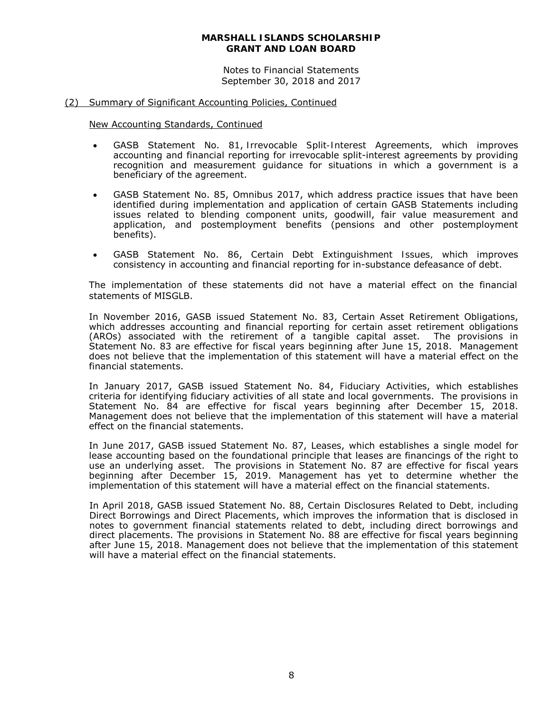Notes to Financial Statements September 30, 2018 and 2017

### (2) Summary of Significant Accounting Policies, Continued

### New Accounting Standards, Continued

- GASB Statement No. 81, *Irrevocable Split-Interest Agreements,* which improves accounting and financial reporting for irrevocable split-interest agreements by providing recognition and measurement guidance for situations in which a government is a beneficiary of the agreement.
- GASB Statement No. 85, *Omnibus 2017*, which address practice issues that have been identified during implementation and application of certain GASB Statements including issues related to blending component units, goodwill, fair value measurement and application, and postemployment benefits (pensions and other postemployment benefits).
- GASB Statement No. 86, *Certain Debt Extinguishment Issues,* which improves consistency in accounting and financial reporting for in-substance defeasance of debt.

The implementation of these statements did not have a material effect on the financial statements of MISGLB.

In November 2016, GASB issued Statement No. 83, Certain Asset Retirement Obligations, which addresses accounting and financial reporting for certain asset retirement obligations (AROs) associated with the retirement of a tangible capital asset. The provisions in Statement No. 83 are effective for fiscal years beginning after June 15, 2018. Management does not believe that the implementation of this statement will have a material effect on the financial statements.

In January 2017, GASB issued Statement No. 84, *Fiduciary Activities*, which establishes criteria for identifying fiduciary activities of all state and local governments. The provisions in Statement No. 84 are effective for fiscal years beginning after December 15, 2018. Management does not believe that the implementation of this statement will have a material effect on the financial statements.

In June 2017, GASB issued Statement No. 87, *Leases*, which establishes a single model for lease accounting based on the foundational principle that leases are financings of the right to use an underlying asset. The provisions in Statement No. 87 are effective for fiscal years beginning after December 15, 2019. Management has yet to determine whether the implementation of this statement will have a material effect on the financial statements.

In April 2018, GASB issued Statement No. 88, *Certain Disclosures Related to Debt, including Direct Borrowings and Direct Placements*, which improves the information that is disclosed in notes to government financial statements related to debt, including direct borrowings and direct placements. The provisions in Statement No. 88 are effective for fiscal years beginning after June 15, 2018. Management does not believe that the implementation of this statement will have a material effect on the financial statements.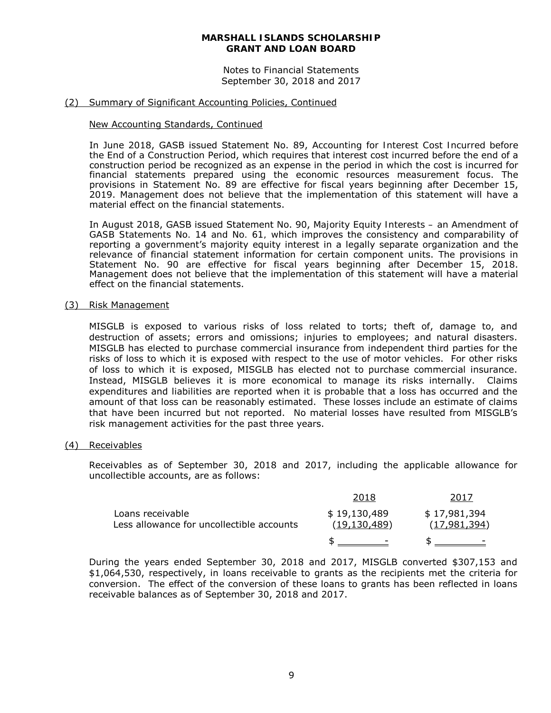Notes to Financial Statements September 30, 2018 and 2017

### (2) Summary of Significant Accounting Policies, Continued

#### New Accounting Standards, Continued

In June 2018, GASB issued Statement No. 89, *Accounting for Interest Cost Incurred before the End of a Construction Period*, which requires that interest cost incurred before the end of a construction period be recognized as an expense in the period in which the cost is incurred for financial statements prepared using the economic resources measurement focus. The provisions in Statement No. 89 are effective for fiscal years beginning after December 15, 2019. Management does not believe that the implementation of this statement will have a material effect on the financial statements.

In August 2018, GASB issued Statement No. 90, *Majority Equity Interests – an Amendment of GASB Statements No. 14 and No. 61,* which improves the consistency and comparability of reporting a government's majority equity interest in a legally separate organization and the relevance of financial statement information for certain component units. The provisions in Statement No. 90 are effective for fiscal years beginning after December 15, 2018. Management does not believe that the implementation of this statement will have a material effect on the financial statements.

#### (3) Risk Management

MISGLB is exposed to various risks of loss related to torts; theft of, damage to, and destruction of assets; errors and omissions; injuries to employees; and natural disasters. MISGLB has elected to purchase commercial insurance from independent third parties for the risks of loss to which it is exposed with respect to the use of motor vehicles. For other risks of loss to which it is exposed, MISGLB has elected not to purchase commercial insurance. Instead, MISGLB believes it is more economical to manage its risks internally. Claims expenditures and liabilities are reported when it is probable that a loss has occurred and the amount of that loss can be reasonably estimated. These losses include an estimate of claims that have been incurred but not reported. No material losses have resulted from MISGLB's risk management activities for the past three years.

### (4) Receivables

Receivables as of September 30, 2018 and 2017, including the applicable allowance for uncollectible accounts, are as follows:

|                                                               | 2018                           | 2017                           |
|---------------------------------------------------------------|--------------------------------|--------------------------------|
| Loans receivable<br>Less allowance for uncollectible accounts | \$19,130,489<br>(19, 130, 489) | \$17,981,394<br>(17, 981, 394) |
|                                                               |                                |                                |

During the years ended September 30, 2018 and 2017, MISGLB converted \$307,153 and \$1,064,530, respectively, in loans receivable to grants as the recipients met the criteria for conversion. The effect of the conversion of these loans to grants has been reflected in loans receivable balances as of September 30, 2018 and 2017.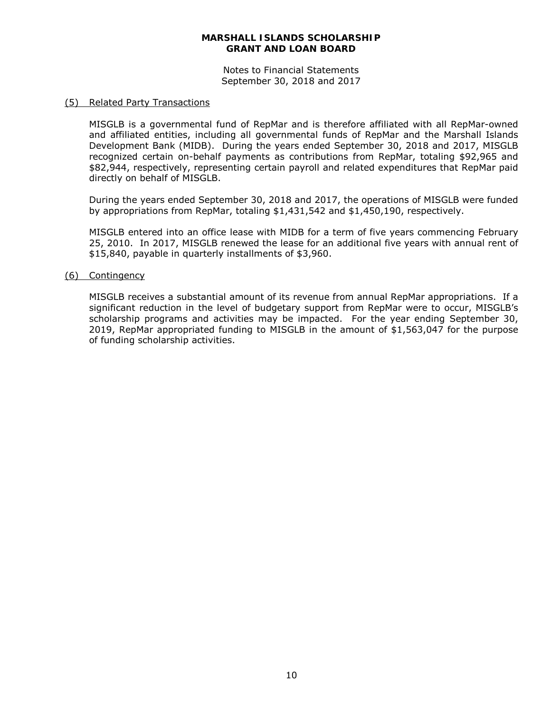Notes to Financial Statements September 30, 2018 and 2017

### (5) Related Party Transactions

MISGLB is a governmental fund of RepMar and is therefore affiliated with all RepMar-owned and affiliated entities, including all governmental funds of RepMar and the Marshall Islands Development Bank (MIDB). During the years ended September 30, 2018 and 2017, MISGLB recognized certain on-behalf payments as contributions from RepMar, totaling \$92,965 and \$82,944, respectively, representing certain payroll and related expenditures that RepMar paid directly on behalf of MISGLB.

During the years ended September 30, 2018 and 2017, the operations of MISGLB were funded by appropriations from RepMar, totaling \$1,431,542 and \$1,450,190, respectively.

MISGLB entered into an office lease with MIDB for a term of five years commencing February 25, 2010. In 2017, MISGLB renewed the lease for an additional five years with annual rent of \$15,840, payable in quarterly installments of \$3,960.

### (6) Contingency

MISGLB receives a substantial amount of its revenue from annual RepMar appropriations. If a significant reduction in the level of budgetary support from RepMar were to occur, MISGLB's scholarship programs and activities may be impacted. For the year ending September 30, 2019, RepMar appropriated funding to MISGLB in the amount of \$1,563,047 for the purpose of funding scholarship activities.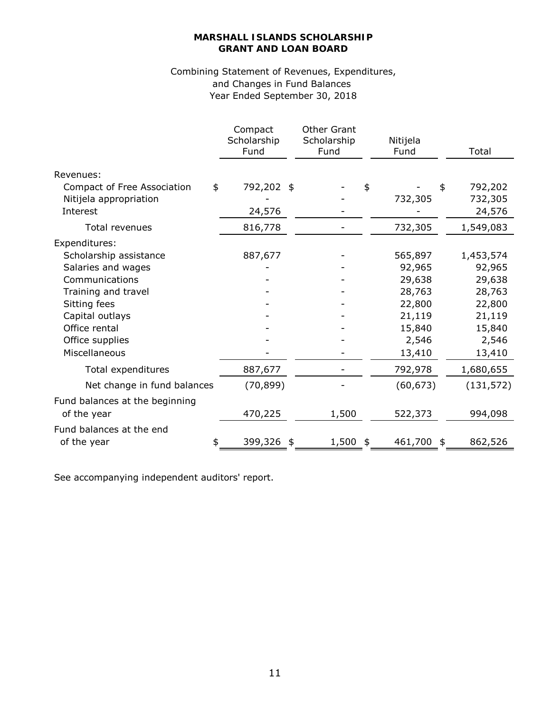### **GRANT AND LOAN BOARD MARSHALL ISLANDS SCHOLARSHIP**

### Combining Statement of Revenues, Expenditures, Year Ended September 30, 2018 and Changes in Fund Balances

|                                | Compact<br>Scholarship<br>Fund | <b>Other Grant</b><br>Scholarship<br>Fund | Nitijela<br>Fund    | Total      |
|--------------------------------|--------------------------------|-------------------------------------------|---------------------|------------|
| Revenues:                      |                                |                                           |                     |            |
| Compact of Free Association    | \$<br>792,202 \$               |                                           | \$<br>\$            | 792,202    |
| Nitijela appropriation         |                                |                                           | 732,305             | 732,305    |
| Interest                       | 24,576                         |                                           |                     | 24,576     |
| Total revenues                 | 816,778                        |                                           | 732,305             | 1,549,083  |
| Expenditures:                  |                                |                                           |                     |            |
| Scholarship assistance         | 887,677                        |                                           | 565,897             | 1,453,574  |
| Salaries and wages             |                                |                                           | 92,965              | 92,965     |
| Communications                 |                                |                                           | 29,638              | 29,638     |
| Training and travel            |                                |                                           | 28,763              | 28,763     |
| Sitting fees                   |                                |                                           | 22,800              | 22,800     |
| Capital outlays                |                                |                                           | 21,119              | 21,119     |
| Office rental                  |                                |                                           | 15,840              | 15,840     |
| Office supplies                |                                |                                           | 2,546               | 2,546      |
| Miscellaneous                  |                                |                                           | 13,410              | 13,410     |
| Total expenditures             | 887,677                        |                                           | 792,978             | 1,680,655  |
| Net change in fund balances    | (70, 899)                      |                                           | (60, 673)           | (131, 572) |
| Fund balances at the beginning |                                |                                           |                     |            |
| of the year                    | 470,225                        | 1,500                                     | 522,373             | 994,098    |
| Fund balances at the end       |                                |                                           |                     |            |
| of the year                    | \$<br>399,326                  | 1,500                                     | \$<br>461,700<br>\$ | 862,526    |

See accompanying independent auditors' report.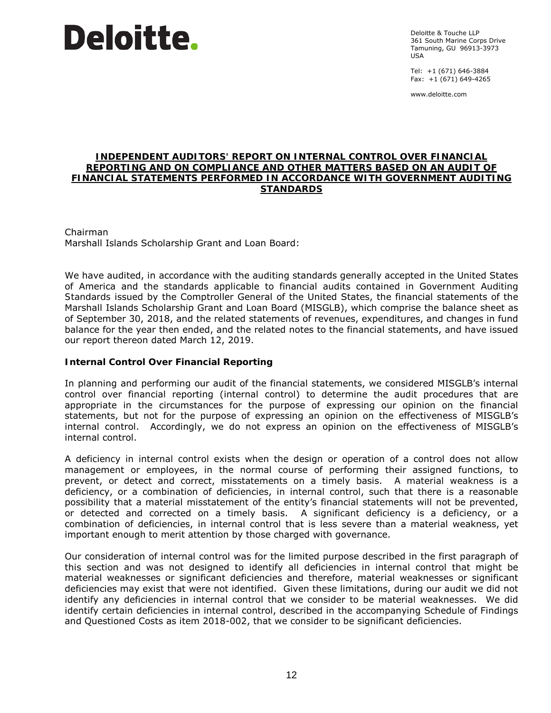Deloitte & Touche LLP 361 South Marine Corps Drive Tamuning, GU 96913-3973 USA

Tel: +1 (671) 646-3884 Fax:  $+1(671)$  649-4265

www.deloitte.com

### **INDEPENDENT AUDITORS' REPORT ON INTERNAL CONTROL OVER FINANCIAL REPORTING AND ON COMPLIANCE AND OTHER MATTERS BASED ON AN AUDIT OF FINANCIAL STATEMENTS PERFORMED IN ACCORDANCE WITH** *GOVERNMENT AUDITING STANDARDS*

Chairman Marshall Islands Scholarship Grant and Loan Board:

We have audited, in accordance with the auditing standards generally accepted in the United States of America and the standards applicable to financial audits contained in *Government Auditing Standards* issued by the Comptroller General of the United States, the financial statements of the Marshall Islands Scholarship Grant and Loan Board (MISGLB), which comprise the balance sheet as of September 30, 2018, and the related statements of revenues, expenditures, and changes in fund balance for the year then ended, and the related notes to the financial statements, and have issued our report thereon dated March 12, 2019.

### **Internal Control Over Financial Reporting**

In planning and performing our audit of the financial statements, we considered MISGLB's internal control over financial reporting (internal control) to determine the audit procedures that are appropriate in the circumstances for the purpose of expressing our opinion on the financial statements, but not for the purpose of expressing an opinion on the effectiveness of MISGLB's internal control. Accordingly, we do not express an opinion on the effectiveness of MISGLB's internal control.

A *deficiency in internal control* exists when the design or operation of a control does not allow management or employees, in the normal course of performing their assigned functions, to prevent, or detect and correct, misstatements on a timely basis. A *material weakness* is a deficiency, or a combination of deficiencies, in internal control, such that there is a reasonable possibility that a material misstatement of the entity's financial statements will not be prevented, or detected and corrected on a timely basis. A *significant deficiency* is a deficiency, or a combination of deficiencies, in internal control that is less severe than a material weakness, yet important enough to merit attention by those charged with governance.

Our consideration of internal control was for the limited purpose described in the first paragraph of this section and was not designed to identify all deficiencies in internal control that might be material weaknesses or significant deficiencies and therefore, material weaknesses or significant deficiencies may exist that were not identified. Given these limitations, during our audit we did not identify any deficiencies in internal control that we consider to be material weaknesses. We did identify certain deficiencies in internal control, described in the accompanying Schedule of Findings and Questioned Costs as item 2018-002, that we consider to be significant deficiencies.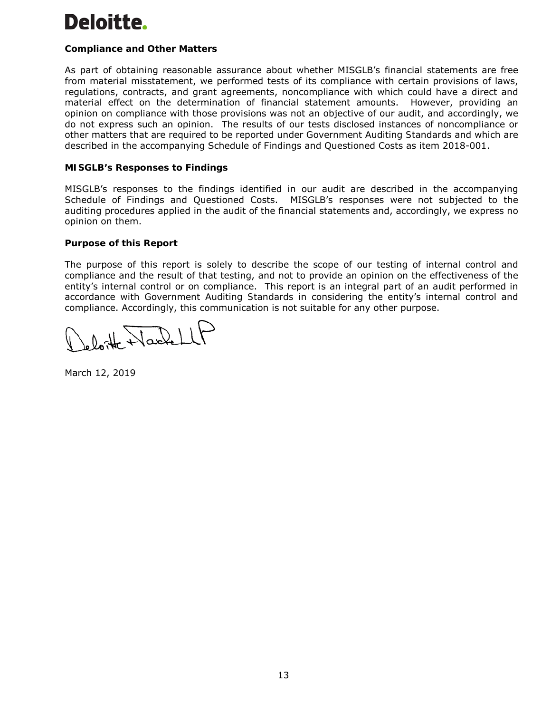### **Compliance and Other Matters**

As part of obtaining reasonable assurance about whether MISGLB's financial statements are free from material misstatement, we performed tests of its compliance with certain provisions of laws, regulations, contracts, and grant agreements, noncompliance with which could have a direct and material effect on the determination of financial statement amounts. However, providing an opinion on compliance with those provisions was not an objective of our audit, and accordingly, we do not express such an opinion. The results of our tests disclosed instances of noncompliance or other matters that are required to be reported under *Government Auditing Standards* and which are described in the accompanying Schedule of Findings and Questioned Costs as item 2018-001.

### **MISGLB's Responses to Findings**

MISGLB's responses to the findings identified in our audit are described in the accompanying Schedule of Findings and Questioned Costs. MISGLB's responses were not subjected to the auditing procedures applied in the audit of the financial statements and, accordingly, we express no opinion on them.

### **Purpose of this Report**

The purpose of this report is solely to describe the scope of our testing of internal control and compliance and the result of that testing, and not to provide an opinion on the effectiveness of the entity's internal control or on compliance. This report is an integral part of an audit performed in accordance with *Government Auditing Standards* in considering the entity's internal control and compliance. Accordingly, this communication is not suitable for any other purpose.

loite Nachell

March 12, 2019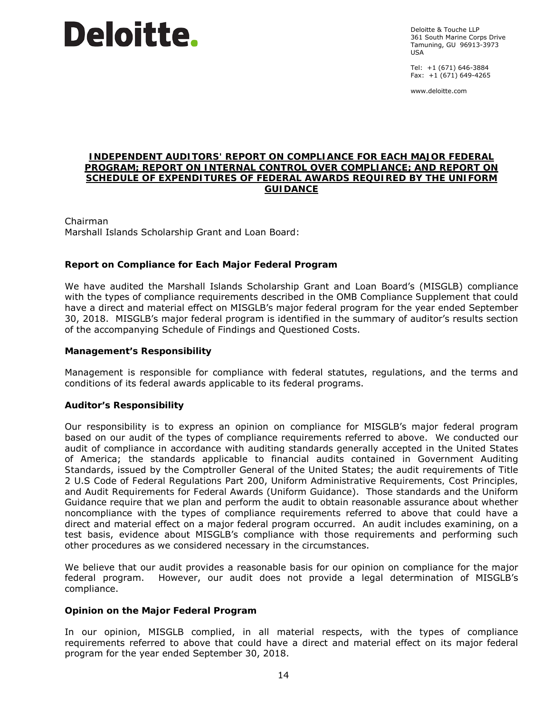Deloitte & Touche LLP 361 South Marine Corps Drive Tamuning, GU 96913-3973 USA

Tel: +1 (671) 646-3884 Fax: +1 (671) 649-4265

www.deloitte.com

### **INDEPENDENT AUDITORS' REPORT ON COMPLIANCE FOR EACH MAJOR FEDERAL PROGRAM; REPORT ON INTERNAL CONTROL OVER COMPLIANCE; AND REPORT ON SCHEDULE OF EXPENDITURES OF FEDERAL AWARDS REQUIRED BY THE UNIFORM GUIDANCE**

Chairman Marshall Islands Scholarship Grant and Loan Board:

### **Report on Compliance for Each Major Federal Program**

We have audited the Marshall Islands Scholarship Grant and Loan Board's (MISGLB) compliance with the types of compliance requirements described in the *OMB Compliance Supplement* that could have a direct and material effect on MISGLB's major federal program for the year ended September 30, 2018. MISGLB's major federal program is identified in the summary of auditor's results section of the accompanying Schedule of Findings and Questioned Costs.

### *Management's Responsibility*

Management is responsible for compliance with federal statutes, regulations, and the terms and conditions of its federal awards applicable to its federal programs.

### *Auditor's Responsibility*

Our responsibility is to express an opinion on compliance for MISGLB's major federal program based on our audit of the types of compliance requirements referred to above. We conducted our audit of compliance in accordance with auditing standards generally accepted in the United States of America; the standards applicable to financial audits contained in *Government Auditing Standards*, issued by the Comptroller General of the United States; the audit requirements of Title 2 U.S *Code of Federal Regulations* Part 200, *Uniform Administrative Requirements, Cost Principles, and Audit Requirements for Federal Awards* (Uniform Guidance). Those standards and the Uniform Guidance require that we plan and perform the audit to obtain reasonable assurance about whether noncompliance with the types of compliance requirements referred to above that could have a direct and material effect on a major federal program occurred. An audit includes examining, on a test basis, evidence about MISGLB's compliance with those requirements and performing such other procedures as we considered necessary in the circumstances.

We believe that our audit provides a reasonable basis for our opinion on compliance for the major federal program. However, our audit does not provide a legal determination of MISGLB's compliance.

### *Opinion on the Major Federal Program*

In our opinion, MISGLB complied, in all material respects, with the types of compliance requirements referred to above that could have a direct and material effect on its major federal program for the year ended September 30, 2018.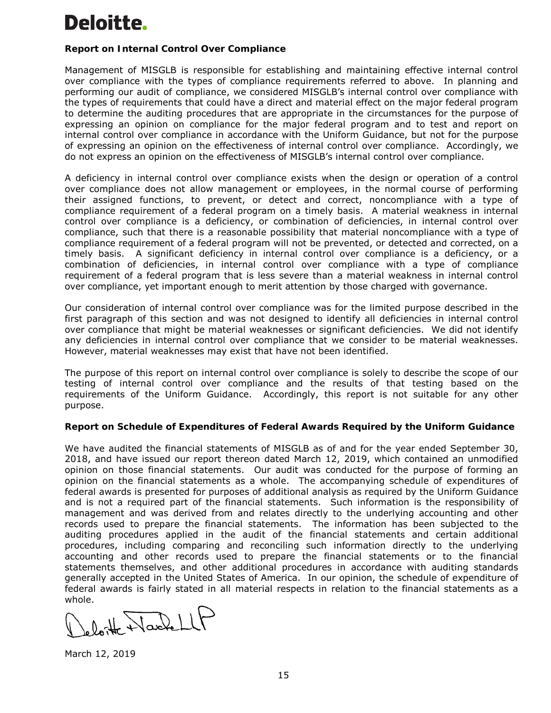### **Report on Internal Control Over Compliance**

Management of MISGLB is responsible for establishing and maintaining effective internal control over compliance with the types of compliance requirements referred to above. In planning and performing our audit of compliance, we considered MISGLB's internal control over compliance with the types of requirements that could have a direct and material effect on the major federal program to determine the auditing procedures that are appropriate in the circumstances for the purpose of expressing an opinion on compliance for the major federal program and to test and report on internal control over compliance in accordance with the Uniform Guidance, but not for the purpose of expressing an opinion on the effectiveness of internal control over compliance. Accordingly, we do not express an opinion on the effectiveness of MISGLB's internal control over compliance.

A *deficiency in internal control over compliance* exists when the design or operation of a control over compliance does not allow management or employees, in the normal course of performing their assigned functions, to prevent, or detect and correct, noncompliance with a type of compliance requirement of a federal program on a timely basis. A *material weakness in internal control over compliance* is a deficiency, or combination of deficiencies, in internal control over compliance, such that there is a reasonable possibility that material noncompliance with a type of compliance requirement of a federal program will not be prevented, or detected and corrected, on a timely basis. A *significant deficiency in internal control over compliance* is a deficiency, or a combination of deficiencies, in internal control over compliance with a type of compliance requirement of a federal program that is less severe than a material weakness in internal control over compliance, yet important enough to merit attention by those charged with governance.

Our consideration of internal control over compliance was for the limited purpose described in the first paragraph of this section and was not designed to identify all deficiencies in internal control over compliance that might be material weaknesses or significant deficiencies. We did not identify any deficiencies in internal control over compliance that we consider to be material weaknesses. However, material weaknesses may exist that have not been identified.

The purpose of this report on internal control over compliance is solely to describe the scope of our testing of internal control over compliance and the results of that testing based on the requirements of the Uniform Guidance. Accordingly, this report is not suitable for any other purpose.

### **Report on Schedule of Expenditures of Federal Awards Required by the Uniform Guidance**

We have audited the financial statements of MISGLB as of and for the year ended September 30, 2018, and have issued our report thereon dated March 12, 2019, which contained an unmodified opinion on those financial statements. Our audit was conducted for the purpose of forming an opinion on the financial statements as a whole. The accompanying schedule of expenditures of federal awards is presented for purposes of additional analysis as required by the Uniform Guidance and is not a required part of the financial statements. Such information is the responsibility of management and was derived from and relates directly to the underlying accounting and other records used to prepare the financial statements. The information has been subjected to the auditing procedures applied in the audit of the financial statements and certain additional procedures, including comparing and reconciling such information directly to the underlying accounting and other records used to prepare the financial statements or to the financial statements themselves, and other additional procedures in accordance with auditing standards generally accepted in the United States of America. In our opinion, the schedule of expenditure of federal awards is fairly stated in all material respects in relation to the financial statements as a

whole.<br> $\int_{\mathbb{R}} \int_{\mathbb{R}} \frac{1}{\sqrt{2\pi}} \sqrt{\frac{1}{2}} \sqrt{\frac{1}{2}}$ 

March 12, 2019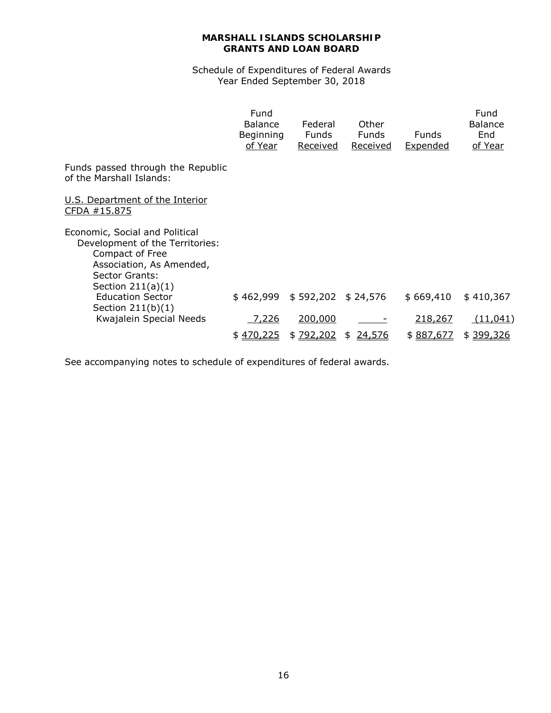Schedule of Expenditures of Federal Awards Year Ended September 30, 2018

|                                                                                                                                                           | Fund<br><b>Balance</b><br>Beginning<br>of Year | Federal<br><b>Funds</b><br><b>Received</b> | Other<br>Funds<br><b>Received</b> | Funds<br><b>Expended</b> | Fund<br><b>Balance</b><br>End<br>of Year |
|-----------------------------------------------------------------------------------------------------------------------------------------------------------|------------------------------------------------|--------------------------------------------|-----------------------------------|--------------------------|------------------------------------------|
| Funds passed through the Republic<br>of the Marshall Islands:                                                                                             |                                                |                                            |                                   |                          |                                          |
| U.S. Department of the Interior<br>CFDA #15.875                                                                                                           |                                                |                                            |                                   |                          |                                          |
| Economic, Social and Political<br>Development of the Territories:<br>Compact of Free<br>Association, As Amended,<br>Sector Grants:<br>Section $211(a)(1)$ |                                                |                                            |                                   |                          |                                          |
| <b>Education Sector</b>                                                                                                                                   | \$462,999                                      | $$592,202$ $$24,576$                       |                                   | \$669,410                | \$410,367                                |
| Section $211(b)(1)$<br>Kwajalein Special Needs                                                                                                            | 7,226                                          | 200,000                                    |                                   | 218,267                  | (11, 041)                                |
|                                                                                                                                                           | \$470,225                                      | \$792,202                                  | \$<br><u>24,576</u>               | \$887,677                | \$399,326                                |

See accompanying notes to schedule of expenditures of federal awards.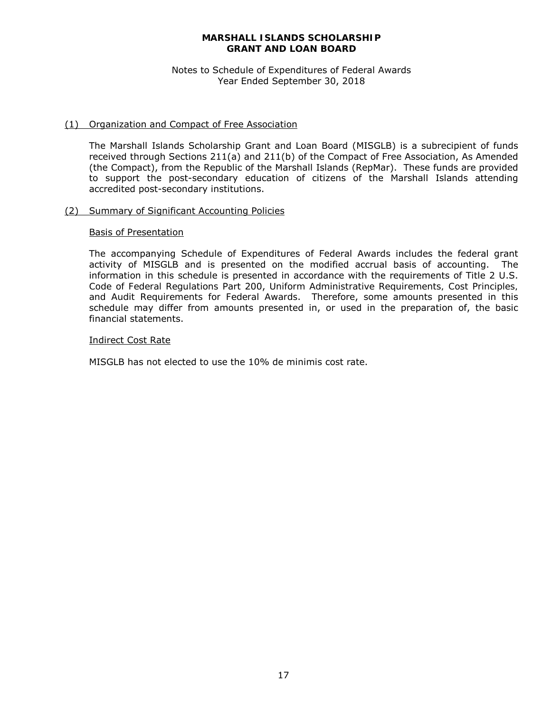Notes to Schedule of Expenditures of Federal Awards Year Ended September 30, 2018

### (1) Organization and Compact of Free Association

The Marshall Islands Scholarship Grant and Loan Board (MISGLB) is a subrecipient of funds received through Sections 211(a) and 211(b) of the Compact of Free Association, As Amended (the Compact), from the Republic of the Marshall Islands (RepMar). These funds are provided to support the post-secondary education of citizens of the Marshall Islands attending accredited post-secondary institutions.

### (2) Summary of Significant Accounting Policies

### Basis of Presentation

The accompanying Schedule of Expenditures of Federal Awards includes the federal grant activity of MISGLB and is presented on the modified accrual basis of accounting. The information in this schedule is presented in accordance with the requirements of Title 2 U.S. *Code of Federal Regulations* Part 200, *Uniform Administrative Requirements, Cost Principles, and Audit Requirements for Federal Awards*. Therefore, some amounts presented in this schedule may differ from amounts presented in, or used in the preparation of, the basic financial statements.

### Indirect Cost Rate

MISGLB has not elected to use the 10% de minimis cost rate.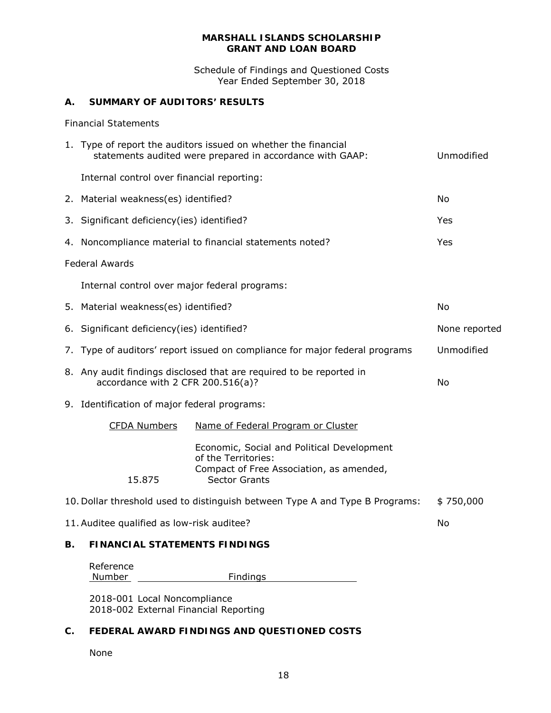Schedule of Findings and Questioned Costs Year Ended September 30, 2018

### **A. SUMMARY OF AUDITORS' RESULTS**

### *Financial Statements*

|    | 1. Type of report the auditors issued on whether the financial<br>statements audited were prepared in accordance with GAAP: | Unmodified                                                                                                                            |               |  |  |  |  |  |
|----|-----------------------------------------------------------------------------------------------------------------------------|---------------------------------------------------------------------------------------------------------------------------------------|---------------|--|--|--|--|--|
|    | Internal control over financial reporting:                                                                                  |                                                                                                                                       |               |  |  |  |  |  |
|    | 2. Material weakness(es) identified?                                                                                        |                                                                                                                                       | <b>No</b>     |  |  |  |  |  |
|    | 3. Significant deficiency(ies) identified?                                                                                  |                                                                                                                                       | Yes           |  |  |  |  |  |
|    |                                                                                                                             | 4. Noncompliance material to financial statements noted?                                                                              | Yes           |  |  |  |  |  |
|    | <b>Federal Awards</b>                                                                                                       |                                                                                                                                       |               |  |  |  |  |  |
|    | Internal control over major federal programs:                                                                               |                                                                                                                                       |               |  |  |  |  |  |
|    | 5. Material weakness(es) identified?                                                                                        |                                                                                                                                       | No            |  |  |  |  |  |
|    | 6. Significant deficiency(ies) identified?                                                                                  |                                                                                                                                       | None reported |  |  |  |  |  |
|    | 7. Type of auditors' report issued on compliance for major federal programs                                                 | Unmodified                                                                                                                            |               |  |  |  |  |  |
|    | 8. Any audit findings disclosed that are required to be reported in<br>accordance with 2 CFR 200.516(a)?                    |                                                                                                                                       |               |  |  |  |  |  |
|    | 9. Identification of major federal programs:                                                                                |                                                                                                                                       |               |  |  |  |  |  |
|    | <b>CFDA Numbers</b>                                                                                                         | Name of Federal Program or Cluster                                                                                                    |               |  |  |  |  |  |
|    | 15.875                                                                                                                      | Economic, Social and Political Development<br>of the Territories:<br>Compact of Free Association, as amended,<br><b>Sector Grants</b> |               |  |  |  |  |  |
|    |                                                                                                                             | 10. Dollar threshold used to distinguish between Type A and Type B Programs:                                                          | \$750,000     |  |  |  |  |  |
|    | 11. Auditee qualified as low-risk auditee?                                                                                  |                                                                                                                                       | No            |  |  |  |  |  |
| В. | <b>FINANCIAL STATEMENTS FINDINGS</b>                                                                                        |                                                                                                                                       |               |  |  |  |  |  |

Reference Number **Eindings** 

2018-001 Local Noncompliance 2018-002 External Financial Reporting

### **C. FEDERAL AWARD FINDINGS AND QUESTIONED COSTS**

None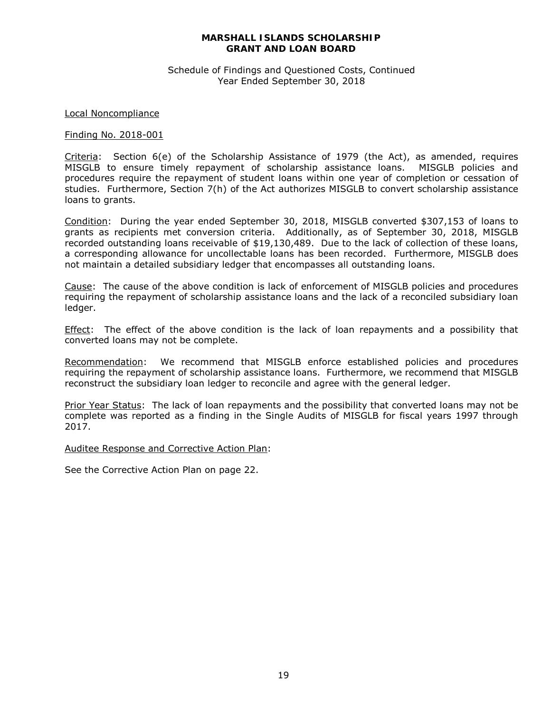Schedule of Findings and Questioned Costs, Continued Year Ended September 30, 2018

### Local Noncompliance

### Finding No. 2018-001

Criteria: Section 6(e) of the Scholarship Assistance of 1979 (the Act), as amended, requires MISGLB to ensure timely repayment of scholarship assistance loans. MISGLB policies and procedures require the repayment of student loans within one year of completion or cessation of studies. Furthermore, Section 7(h) of the Act authorizes MISGLB to convert scholarship assistance loans to grants.

Condition: During the year ended September 30, 2018, MISGLB converted \$307,153 of loans to grants as recipients met conversion criteria. Additionally, as of September 30, 2018, MISGLB recorded outstanding loans receivable of \$19,130,489. Due to the lack of collection of these loans, a corresponding allowance for uncollectable loans has been recorded. Furthermore, MISGLB does not maintain a detailed subsidiary ledger that encompasses all outstanding loans.

Cause: The cause of the above condition is lack of enforcement of MISGLB policies and procedures requiring the repayment of scholarship assistance loans and the lack of a reconciled subsidiary loan ledger.

Effect: The effect of the above condition is the lack of loan repayments and a possibility that converted loans may not be complete.

Recommendation: We recommend that MISGLB enforce established policies and procedures requiring the repayment of scholarship assistance loans. Furthermore, we recommend that MISGLB reconstruct the subsidiary loan ledger to reconcile and agree with the general ledger.

Prior Year Status: The lack of loan repayments and the possibility that converted loans may not be complete was reported as a finding in the Single Audits of MISGLB for fiscal years 1997 through 2017.

### Auditee Response and Corrective Action Plan:

See the Corrective Action Plan on page 22.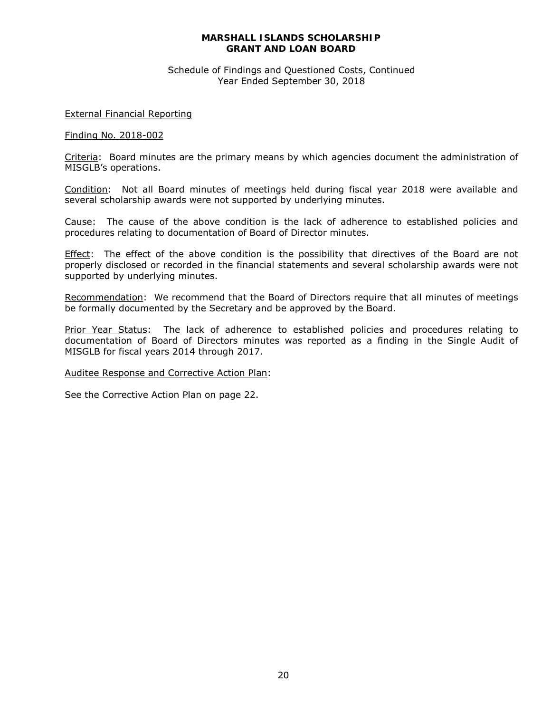Schedule of Findings and Questioned Costs, Continued Year Ended September 30, 2018

### External Financial Reporting

### Finding No. 2018-002

Criteria: Board minutes are the primary means by which agencies document the administration of MISGLB's operations.

Condition: Not all Board minutes of meetings held during fiscal year 2018 were available and several scholarship awards were not supported by underlying minutes.

Cause: The cause of the above condition is the lack of adherence to established policies and procedures relating to documentation of Board of Director minutes.

Effect: The effect of the above condition is the possibility that directives of the Board are not properly disclosed or recorded in the financial statements and several scholarship awards were not supported by underlying minutes.

Recommendation: We recommend that the Board of Directors require that all minutes of meetings be formally documented by the Secretary and be approved by the Board.

Prior Year Status: The lack of adherence to established policies and procedures relating to documentation of Board of Directors minutes was reported as a finding in the Single Audit of MISGLB for fiscal years 2014 through 2017.

### Auditee Response and Corrective Action Plan:

See the Corrective Action Plan on page 22.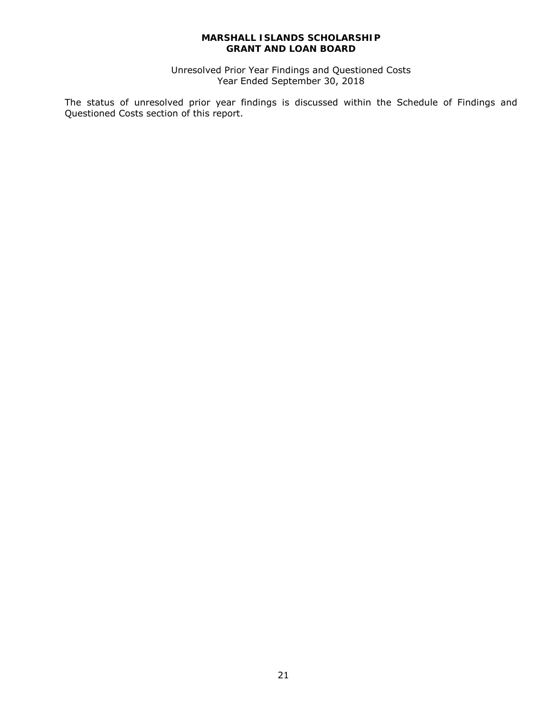Unresolved Prior Year Findings and Questioned Costs Year Ended September 30, 2018

The status of unresolved prior year findings is discussed within the Schedule of Findings and Questioned Costs section of this report.